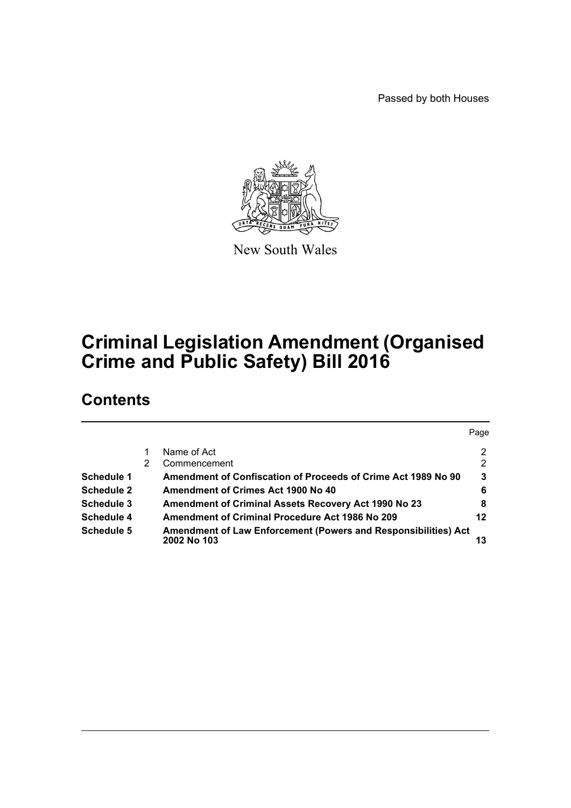Passed by both Houses



New South Wales

# **Criminal Legislation Amendment (Organised Crime and Public Safety) Bill 2016**

# **Contents**

|                   |   |                                                                                      | Page           |
|-------------------|---|--------------------------------------------------------------------------------------|----------------|
|                   |   | Name of Act                                                                          | $\overline{2}$ |
|                   | 2 | Commencement                                                                         | 2              |
| Schedule 1        |   | Amendment of Confiscation of Proceeds of Crime Act 1989 No 90                        | 3              |
| <b>Schedule 2</b> |   | Amendment of Crimes Act 1900 No 40                                                   | 6              |
| Schedule 3        |   | <b>Amendment of Criminal Assets Recovery Act 1990 No 23</b>                          | 8              |
| Schedule 4        |   | Amendment of Criminal Procedure Act 1986 No 209                                      | 12             |
| Schedule 5        |   | <b>Amendment of Law Enforcement (Powers and Responsibilities) Act</b><br>2002 No 103 |                |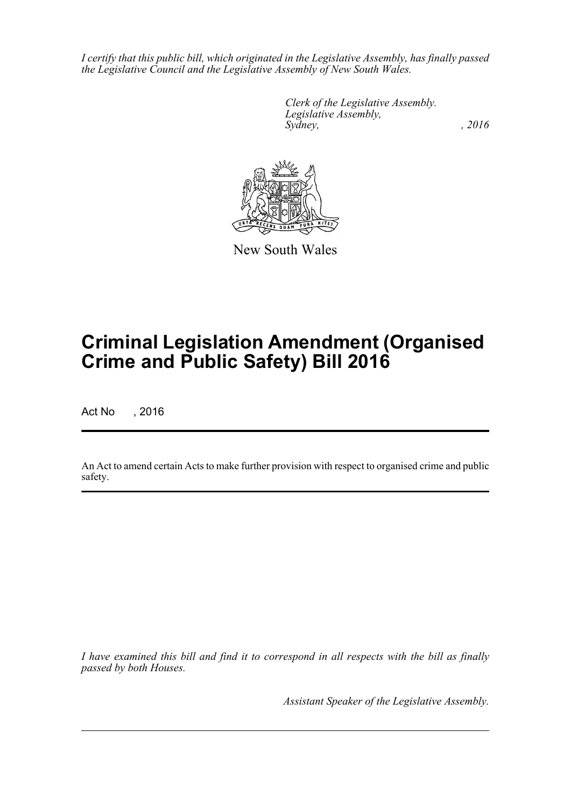*I certify that this public bill, which originated in the Legislative Assembly, has finally passed the Legislative Council and the Legislative Assembly of New South Wales.*

> *Clerk of the Legislative Assembly. Legislative Assembly, Sydney,* , 2016



New South Wales

# **Criminal Legislation Amendment (Organised Crime and Public Safety) Bill 2016**

Act No , 2016

An Act to amend certain Acts to make further provision with respect to organised crime and public safety.

*I have examined this bill and find it to correspond in all respects with the bill as finally passed by both Houses.*

*Assistant Speaker of the Legislative Assembly.*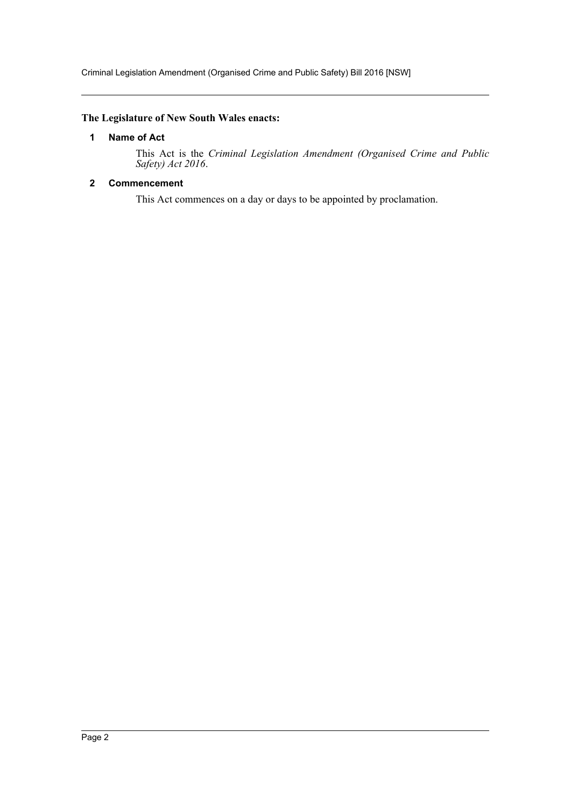Criminal Legislation Amendment (Organised Crime and Public Safety) Bill 2016 [NSW]

# <span id="page-2-0"></span>**The Legislature of New South Wales enacts:**

#### **1 Name of Act**

This Act is the *Criminal Legislation Amendment (Organised Crime and Public Safety) Act 2016*.

# <span id="page-2-1"></span>**2 Commencement**

This Act commences on a day or days to be appointed by proclamation.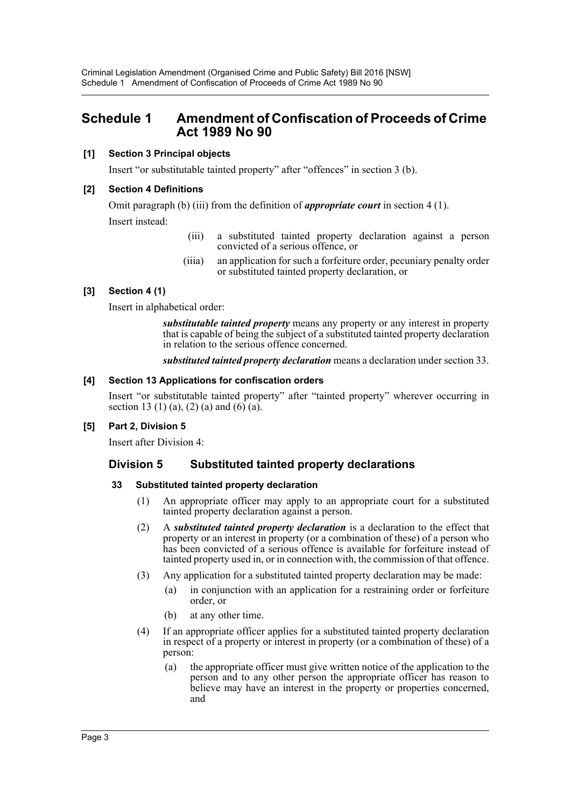Criminal Legislation Amendment (Organised Crime and Public Safety) Bill 2016 [NSW] Schedule 1 Amendment of Confiscation of Proceeds of Crime Act 1989 No 90

# <span id="page-3-0"></span>**Schedule 1 Amendment of Confiscation of Proceeds of Crime Act 1989 No 90**

## **[1] Section 3 Principal objects**

Insert "or substitutable tainted property" after "offences" in section 3 (b).

### **[2] Section 4 Definitions**

Omit paragraph (b) (iii) from the definition of *appropriate court* in section 4 (1). Insert instead:

- (iii) a substituted tainted property declaration against a person convicted of a serious offence, or
- (iiia) an application for such a forfeiture order, pecuniary penalty order or substituted tainted property declaration, or

# **[3] Section 4 (1)**

Insert in alphabetical order:

*substitutable tainted property* means any property or any interest in property that is capable of being the subject of a substituted tainted property declaration in relation to the serious offence concerned.

*substituted tainted property declaration* means a declaration under section 33.

#### **[4] Section 13 Applications for confiscation orders**

Insert "or substitutable tainted property" after "tainted property" wherever occurring in section 13 (1) (a), (2) (a) and (6) (a).

# **[5] Part 2, Division 5**

Insert after Division 4:

# **Division 5 Substituted tainted property declarations**

#### **33 Substituted tainted property declaration**

- (1) An appropriate officer may apply to an appropriate court for a substituted tainted property declaration against a person.
- (2) A *substituted tainted property declaration* is a declaration to the effect that property or an interest in property (or a combination of these) of a person who has been convicted of a serious offence is available for forfeiture instead of tainted property used in, or in connection with, the commission of that offence.
- (3) Any application for a substituted tainted property declaration may be made:
	- (a) in conjunction with an application for a restraining order or forfeiture order, or
	- (b) at any other time.
- (4) If an appropriate officer applies for a substituted tainted property declaration in respect of a property or interest in property (or a combination of these) of a person:
	- (a) the appropriate officer must give written notice of the application to the person and to any other person the appropriate officer has reason to believe may have an interest in the property or properties concerned, and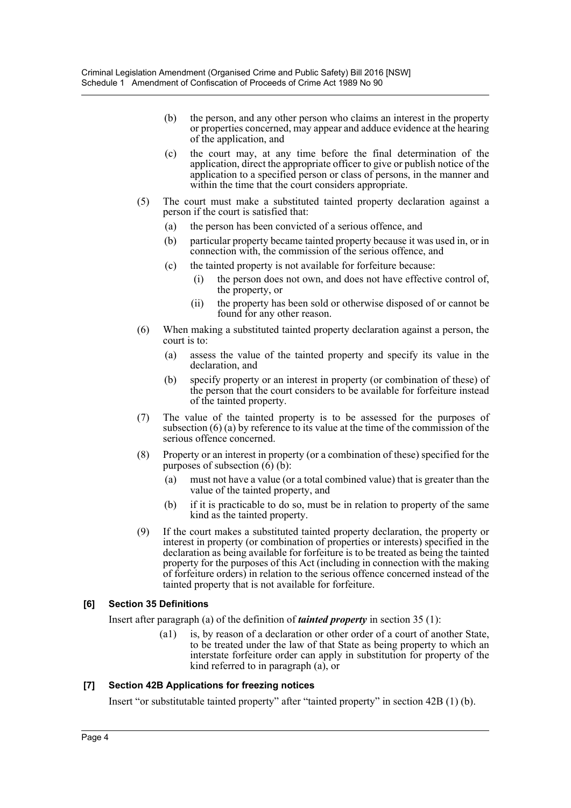- (b) the person, and any other person who claims an interest in the property or properties concerned, may appear and adduce evidence at the hearing of the application, and
- (c) the court may, at any time before the final determination of the application, direct the appropriate officer to give or publish notice of the application to a specified person or class of persons, in the manner and within the time that the court considers appropriate.
- (5) The court must make a substituted tainted property declaration against a person if the court is satisfied that:
	- (a) the person has been convicted of a serious offence, and
	- (b) particular property became tainted property because it was used in, or in connection with, the commission of the serious offence, and
	- (c) the tainted property is not available for forfeiture because:
		- (i) the person does not own, and does not have effective control of, the property, or
		- (ii) the property has been sold or otherwise disposed of or cannot be found for any other reason.
- (6) When making a substituted tainted property declaration against a person, the court is to:
	- (a) assess the value of the tainted property and specify its value in the declaration, and
	- (b) specify property or an interest in property (or combination of these) of the person that the court considers to be available for forfeiture instead of the tainted property.
- (7) The value of the tainted property is to be assessed for the purposes of subsection (6) (a) by reference to its value at the time of the commission of the serious offence concerned.
- (8) Property or an interest in property (or a combination of these) specified for the purposes of subsection  $(6)(\overline{b})$ :
	- (a) must not have a value (or a total combined value) that is greater than the value of the tainted property, and
	- (b) if it is practicable to do so, must be in relation to property of the same kind as the tainted property.
- (9) If the court makes a substituted tainted property declaration, the property or interest in property (or combination of properties or interests) specified in the declaration as being available for forfeiture is to be treated as being the tainted property for the purposes of this Act (including in connection with the making of forfeiture orders) in relation to the serious offence concerned instead of the tainted property that is not available for forfeiture.

# **[6] Section 35 Definitions**

Insert after paragraph (a) of the definition of *tainted property* in section 35 (1):

(a1) is, by reason of a declaration or other order of a court of another State, to be treated under the law of that State as being property to which an interstate forfeiture order can apply in substitution for property of the kind referred to in paragraph (a), or

# **[7] Section 42B Applications for freezing notices**

Insert "or substitutable tainted property" after "tainted property" in section 42B (1) (b).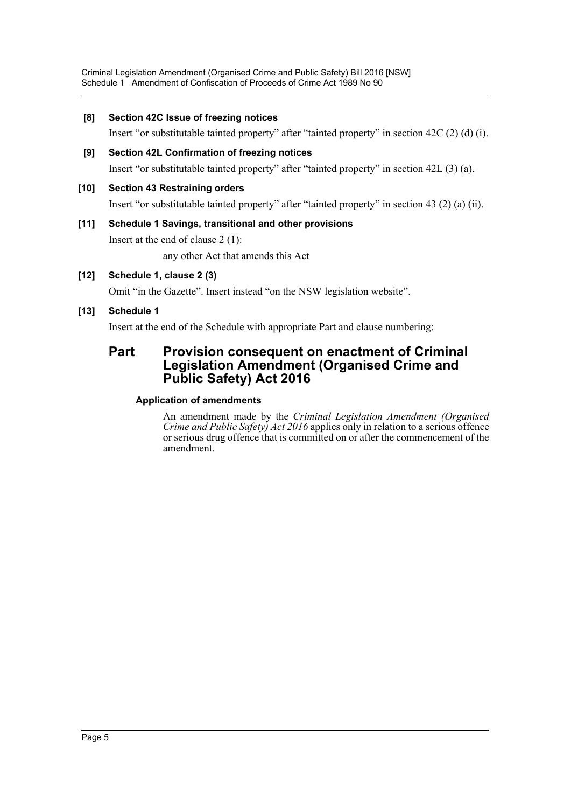Criminal Legislation Amendment (Organised Crime and Public Safety) Bill 2016 [NSW] Schedule 1 Amendment of Confiscation of Proceeds of Crime Act 1989 No 90

### **[8] Section 42C Issue of freezing notices**

Insert "or substitutable tainted property" after "tainted property" in section 42C (2) (d) (i).

**[9] Section 42L Confirmation of freezing notices** Insert "or substitutable tainted property" after "tainted property" in section 42L (3) (a).

### **[10] Section 43 Restraining orders**

Insert "or substitutable tainted property" after "tainted property" in section 43 (2) (a) (ii).

# **[11] Schedule 1 Savings, transitional and other provisions** Insert at the end of clause 2 (1): any other Act that amends this Act

## **[12] Schedule 1, clause 2 (3)**

Omit "in the Gazette". Insert instead "on the NSW legislation website".

# **[13] Schedule 1**

Insert at the end of the Schedule with appropriate Part and clause numbering:

# **Part Provision consequent on enactment of Criminal Legislation Amendment (Organised Crime and Public Safety) Act 2016**

#### **Application of amendments**

An amendment made by the *Criminal Legislation Amendment (Organised Crime and Public Safety) Act 2016* applies only in relation to a serious offence or serious drug offence that is committed on or after the commencement of the amendment.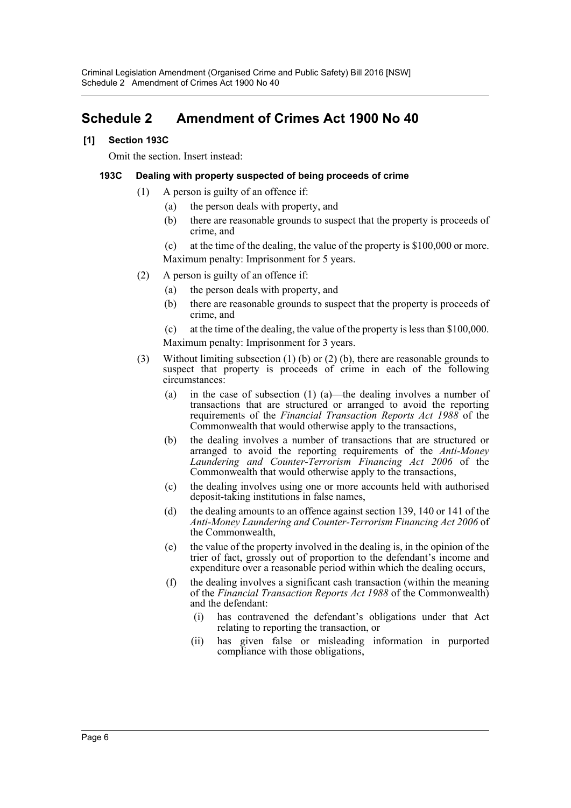# <span id="page-6-0"></span>**Schedule 2 Amendment of Crimes Act 1900 No 40**

# **[1] Section 193C**

Omit the section. Insert instead:

## **193C Dealing with property suspected of being proceeds of crime**

- (1) A person is guilty of an offence if:
	- (a) the person deals with property, and
	- (b) there are reasonable grounds to suspect that the property is proceeds of crime, and
	- (c) at the time of the dealing, the value of the property is \$100,000 or more. Maximum penalty: Imprisonment for 5 years.
- (2) A person is guilty of an offence if:
	- (a) the person deals with property, and
	- (b) there are reasonable grounds to suspect that the property is proceeds of crime, and
	- (c) at the time of the dealing, the value of the property is less than \$100,000. Maximum penalty: Imprisonment for 3 years.
- (3) Without limiting subsection (1) (b) or (2) (b), there are reasonable grounds to suspect that property is proceeds of crime in each of the following circumstances:
	- (a) in the case of subsection (1) (a)—the dealing involves a number of transactions that are structured or arranged to avoid the reporting requirements of the *Financial Transaction Reports Act 1988* of the Commonwealth that would otherwise apply to the transactions,
	- (b) the dealing involves a number of transactions that are structured or arranged to avoid the reporting requirements of the *Anti-Money Laundering and Counter-Terrorism Financing Act 2006* of the Commonwealth that would otherwise apply to the transactions,
	- (c) the dealing involves using one or more accounts held with authorised deposit-taking institutions in false names,
	- (d) the dealing amounts to an offence against section 139, 140 or 141 of the *Anti-Money Laundering and Counter-Terrorism Financing Act 2006* of the Commonwealth,
	- (e) the value of the property involved in the dealing is, in the opinion of the trier of fact, grossly out of proportion to the defendant's income and expenditure over a reasonable period within which the dealing occurs,
	- (f) the dealing involves a significant cash transaction (within the meaning of the *Financial Transaction Reports Act 1988* of the Commonwealth) and the defendant:
		- (i) has contravened the defendant's obligations under that Act relating to reporting the transaction, or
		- (ii) has given false or misleading information in purported compliance with those obligations,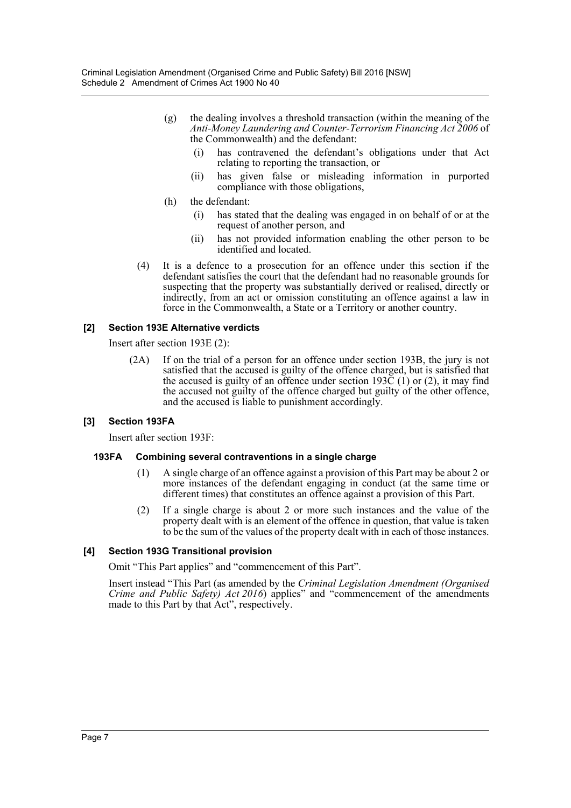- (g) the dealing involves a threshold transaction (within the meaning of the *Anti-Money Laundering and Counter-Terrorism Financing Act 2006* of the Commonwealth) and the defendant:
	- (i) has contravened the defendant's obligations under that Act relating to reporting the transaction, or
	- (ii) has given false or misleading information in purported compliance with those obligations,
- (h) the defendant:
	- (i) has stated that the dealing was engaged in on behalf of or at the request of another person, and
	- (ii) has not provided information enabling the other person to be identified and located.
- (4) It is a defence to a prosecution for an offence under this section if the defendant satisfies the court that the defendant had no reasonable grounds for suspecting that the property was substantially derived or realised, directly or indirectly, from an act or omission constituting an offence against a law in force in the Commonwealth, a State or a Territory or another country.

### **[2] Section 193E Alternative verdicts**

Insert after section 193E (2):

(2A) If on the trial of a person for an offence under section 193B, the jury is not satisfied that the accused is guilty of the offence charged, but is satisfied that the accused is guilty of an offence under section  $193\overline{C}$  (1) or (2), it may find the accused not guilty of the offence charged but guilty of the other offence, and the accused is liable to punishment accordingly.

# **[3] Section 193FA**

Insert after section 193F:

#### **193FA Combining several contraventions in a single charge**

- (1) A single charge of an offence against a provision of this Part may be about 2 or more instances of the defendant engaging in conduct (at the same time or different times) that constitutes an offence against a provision of this Part.
- (2) If a single charge is about 2 or more such instances and the value of the property dealt with is an element of the offence in question, that value is taken to be the sum of the values of the property dealt with in each of those instances.

# **[4] Section 193G Transitional provision**

Omit "This Part applies" and "commencement of this Part".

Insert instead "This Part (as amended by the *Criminal Legislation Amendment (Organised Crime and Public Safety) Act 2016*) applies" and "commencement of the amendments made to this Part by that Act", respectively.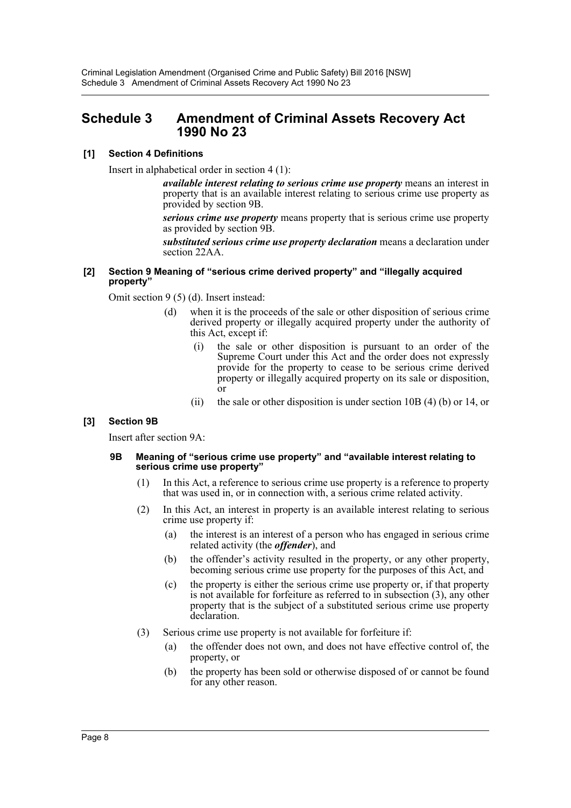# <span id="page-8-0"></span>**Schedule 3 Amendment of Criminal Assets Recovery Act 1990 No 23**

# **[1] Section 4 Definitions**

Insert in alphabetical order in section 4 (1):

*available interest relating to serious crime use property* means an interest in property that is an available interest relating to serious crime use property as provided by section 9B.

*serious crime use property* means property that is serious crime use property as provided by section 9B.

*substituted serious crime use property declaration* means a declaration under section 22AA.

#### **[2] Section 9 Meaning of "serious crime derived property" and "illegally acquired property"**

Omit section 9 (5) (d). Insert instead:

- (d) when it is the proceeds of the sale or other disposition of serious crime derived property or illegally acquired property under the authority of this Act, except if:
	- (i) the sale or other disposition is pursuant to an order of the Supreme Court under this Act and the order does not expressly provide for the property to cease to be serious crime derived property or illegally acquired property on its sale or disposition, or
	- (ii) the sale or other disposition is under section 10B (4) (b) or 14, or

# **[3] Section 9B**

Insert after section 9A:

#### **9B Meaning of "serious crime use property" and "available interest relating to serious crime use property"**

- (1) In this Act, a reference to serious crime use property is a reference to property that was used in, or in connection with, a serious crime related activity.
- (2) In this Act, an interest in property is an available interest relating to serious crime use property if:
	- (a) the interest is an interest of a person who has engaged in serious crime related activity (the *offender*), and
	- (b) the offender's activity resulted in the property, or any other property, becoming serious crime use property for the purposes of this Act, and
	- (c) the property is either the serious crime use property or, if that property is not available for forfeiture as referred to in subsection (3), any other property that is the subject of a substituted serious crime use property declaration.
- (3) Serious crime use property is not available for forfeiture if:
	- (a) the offender does not own, and does not have effective control of, the property, or
	- (b) the property has been sold or otherwise disposed of or cannot be found for any other reason.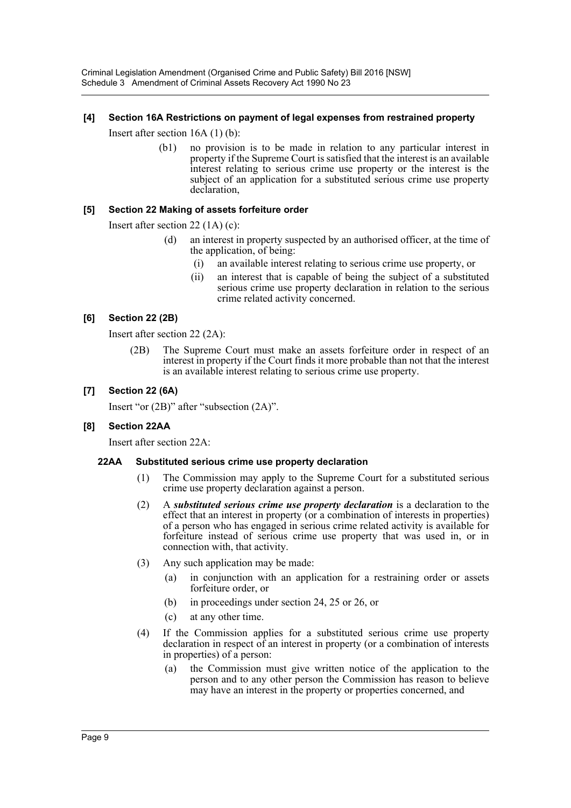Criminal Legislation Amendment (Organised Crime and Public Safety) Bill 2016 [NSW] Schedule 3 Amendment of Criminal Assets Recovery Act 1990 No 23

#### **[4] Section 16A Restrictions on payment of legal expenses from restrained property**

Insert after section 16A (1) (b):

(b1) no provision is to be made in relation to any particular interest in property if the Supreme Court is satisfied that the interest is an available interest relating to serious crime use property or the interest is the subject of an application for a substituted serious crime use property declaration,

### **[5] Section 22 Making of assets forfeiture order**

Insert after section 22 (1A) (c):

- (d) an interest in property suspected by an authorised officer, at the time of the application, of being:
	- (i) an available interest relating to serious crime use property, or
	- (ii) an interest that is capable of being the subject of a substituted serious crime use property declaration in relation to the serious crime related activity concerned.

### **[6] Section 22 (2B)**

Insert after section 22 (2A):

(2B) The Supreme Court must make an assets forfeiture order in respect of an interest in property if the Court finds it more probable than not that the interest is an available interest relating to serious crime use property.

### **[7] Section 22 (6A)**

Insert "or (2B)" after "subsection (2A)".

#### **[8] Section 22AA**

Insert after section 22A:

#### **22AA Substituted serious crime use property declaration**

- (1) The Commission may apply to the Supreme Court for a substituted serious crime use property declaration against a person.
- (2) A *substituted serious crime use property declaration* is a declaration to the effect that an interest in property (or a combination of interests in properties) of a person who has engaged in serious crime related activity is available for forfeiture instead of serious crime use property that was used in, or in connection with, that activity.
- (3) Any such application may be made:
	- (a) in conjunction with an application for a restraining order or assets forfeiture order, or
	- (b) in proceedings under section 24, 25 or 26, or
	- (c) at any other time.
- (4) If the Commission applies for a substituted serious crime use property declaration in respect of an interest in property (or a combination of interests in properties) of a person:
	- (a) the Commission must give written notice of the application to the person and to any other person the Commission has reason to believe may have an interest in the property or properties concerned, and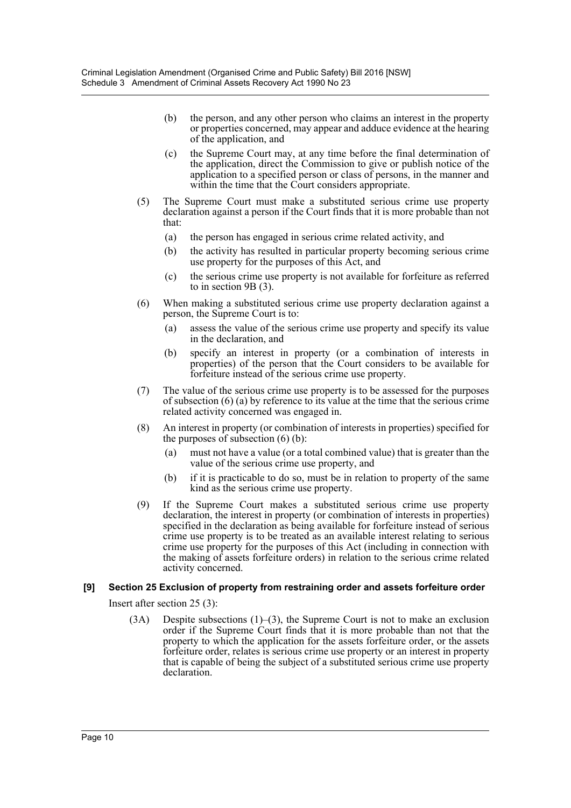- (b) the person, and any other person who claims an interest in the property or properties concerned, may appear and adduce evidence at the hearing of the application, and
- (c) the Supreme Court may, at any time before the final determination of the application, direct the Commission to give or publish notice of the application to a specified person or class of persons, in the manner and within the time that the Court considers appropriate.
- (5) The Supreme Court must make a substituted serious crime use property declaration against a person if the Court finds that it is more probable than not that:
	- (a) the person has engaged in serious crime related activity, and
	- (b) the activity has resulted in particular property becoming serious crime use property for the purposes of this Act, and
	- (c) the serious crime use property is not available for forfeiture as referred to in section 9B (3).
- (6) When making a substituted serious crime use property declaration against a person, the Supreme Court is to:
	- (a) assess the value of the serious crime use property and specify its value in the declaration, and
	- (b) specify an interest in property (or a combination of interests in properties) of the person that the Court considers to be available for forfeiture instead of the serious crime use property.
- (7) The value of the serious crime use property is to be assessed for the purposes of subsection (6) (a) by reference to its value at the time that the serious crime related activity concerned was engaged in.
- (8) An interest in property (or combination of interests in properties) specified for the purposes of subsection (6) (b):
	- (a) must not have a value (or a total combined value) that is greater than the value of the serious crime use property, and
	- (b) if it is practicable to do so, must be in relation to property of the same kind as the serious crime use property.
- (9) If the Supreme Court makes a substituted serious crime use property declaration, the interest in property (or combination of interests in properties) specified in the declaration as being available for forfeiture instead of serious crime use property is to be treated as an available interest relating to serious crime use property for the purposes of this Act (including in connection with the making of assets forfeiture orders) in relation to the serious crime related activity concerned.

# **[9] Section 25 Exclusion of property from restraining order and assets forfeiture order**

Insert after section 25 (3):

(3A) Despite subsections (1)–(3), the Supreme Court is not to make an exclusion order if the Supreme Court finds that it is more probable than not that the property to which the application for the assets forfeiture order, or the assets forfeiture order, relates is serious crime use property or an interest in property that is capable of being the subject of a substituted serious crime use property declaration.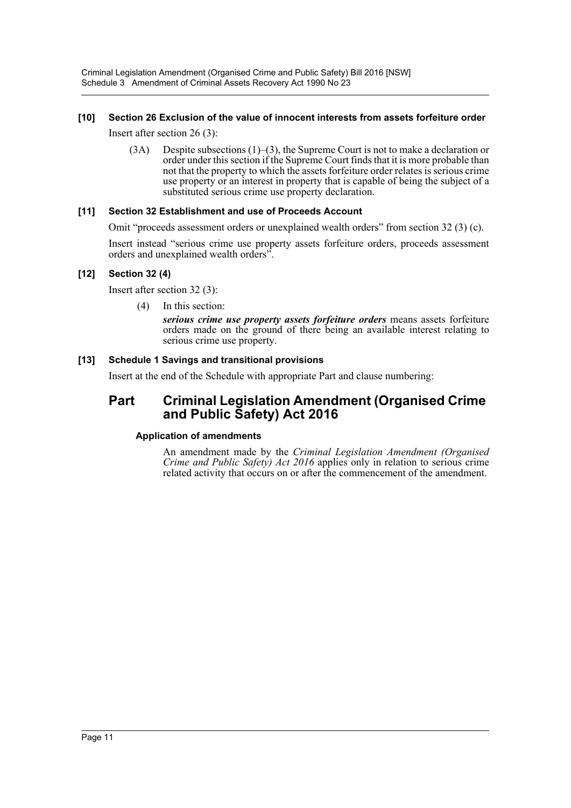# **[10] Section 26 Exclusion of the value of innocent interests from assets forfeiture order**

Insert after section 26 (3):

 $(3A)$  Despite subsections  $(1)$ – $(3)$ , the Supreme Court is not to make a declaration or order under this section if the Supreme Court finds that it is more probable than not that the property to which the assets forfeiture order relates is serious crime use property or an interest in property that is capable of being the subject of a substituted serious crime use property declaration.

# **[11] Section 32 Establishment and use of Proceeds Account**

Omit "proceeds assessment orders or unexplained wealth orders" from section 32 (3) (c).

Insert instead "serious crime use property assets forfeiture orders, proceeds assessment orders and unexplained wealth orders".

# **[12] Section 32 (4)**

Insert after section 32 (3):

(4) In this section:

*serious crime use property assets forfeiture orders* means assets forfeiture orders made on the ground of there being an available interest relating to serious crime use property.

# **[13] Schedule 1 Savings and transitional provisions**

Insert at the end of the Schedule with appropriate Part and clause numbering:

# **Part Criminal Legislation Amendment (Organised Crime and Public Safety) Act 2016**

# **Application of amendments**

An amendment made by the *Criminal Legislation Amendment (Organised Crime and Public Safety) Act 2016* applies only in relation to serious crime related activity that occurs on or after the commencement of the amendment.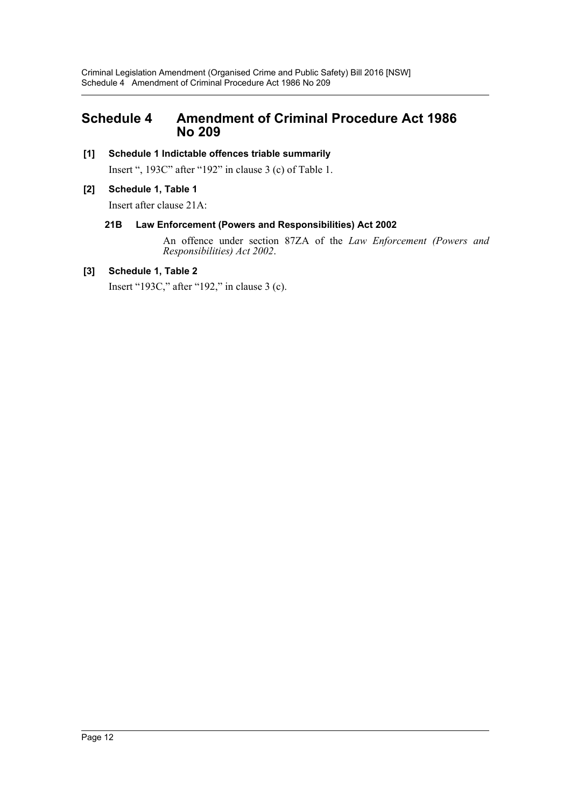# <span id="page-12-0"></span>**Schedule 4 Amendment of Criminal Procedure Act 1986 No 209**

# **[1] Schedule 1 Indictable offences triable summarily**

Insert ", 193C" after "192" in clause 3 (c) of Table 1.

# **[2] Schedule 1, Table 1**

Insert after clause 21A:

# **21B Law Enforcement (Powers and Responsibilities) Act 2002**

An offence under section 87ZA of the *Law Enforcement (Powers and Responsibilities) Act 2002*.

# **[3] Schedule 1, Table 2**

Insert "193C," after "192," in clause 3 (c).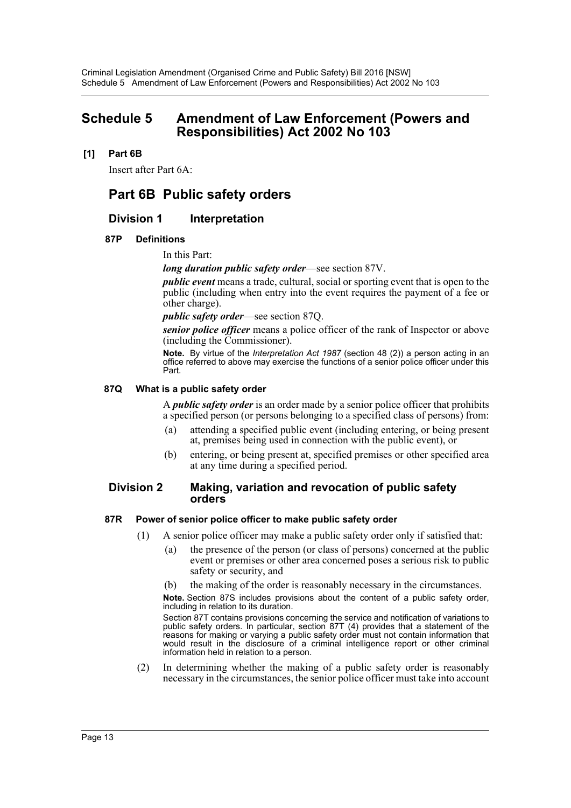# <span id="page-13-0"></span>**Schedule 5 Amendment of Law Enforcement (Powers and Responsibilities) Act 2002 No 103**

## **[1] Part 6B**

Insert after Part 6A:

# **Part 6B Public safety orders**

# **Division 1 Interpretation**

#### **87P Definitions**

In this Part:

*long duration public safety order*—see section 87V.

*public event* means a trade, cultural, social or sporting event that is open to the public (including when entry into the event requires the payment of a fee or other charge).

*public safety order*—see section 87Q.

*senior police officer* means a police officer of the rank of Inspector or above (including the Commissioner).

**Note.** By virtue of the *Interpretation Act 1987* (section 48 (2)) a person acting in an office referred to above may exercise the functions of a senior police officer under this Part.

#### **87Q What is a public safety order**

A *public safety order* is an order made by a senior police officer that prohibits a specified person (or persons belonging to a specified class of persons) from:

- (a) attending a specified public event (including entering, or being present at, premises being used in connection with the public event), or
- (b) entering, or being present at, specified premises or other specified area at any time during a specified period.

#### **Division 2 Making, variation and revocation of public safety orders**

#### **87R Power of senior police officer to make public safety order**

- (1) A senior police officer may make a public safety order only if satisfied that:
	- (a) the presence of the person (or class of persons) concerned at the public event or premises or other area concerned poses a serious risk to public safety or security, and
	- (b) the making of the order is reasonably necessary in the circumstances.

**Note.** Section 87S includes provisions about the content of a public safety order, including in relation to its duration.

Section 87T contains provisions concerning the service and notification of variations to public safety orders. In particular, section 87T (4) provides that a statement of the reasons for making or varying a public safety order must not contain information that would result in the disclosure of a criminal intelligence report or other criminal information held in relation to a person.

(2) In determining whether the making of a public safety order is reasonably necessary in the circumstances, the senior police officer must take into account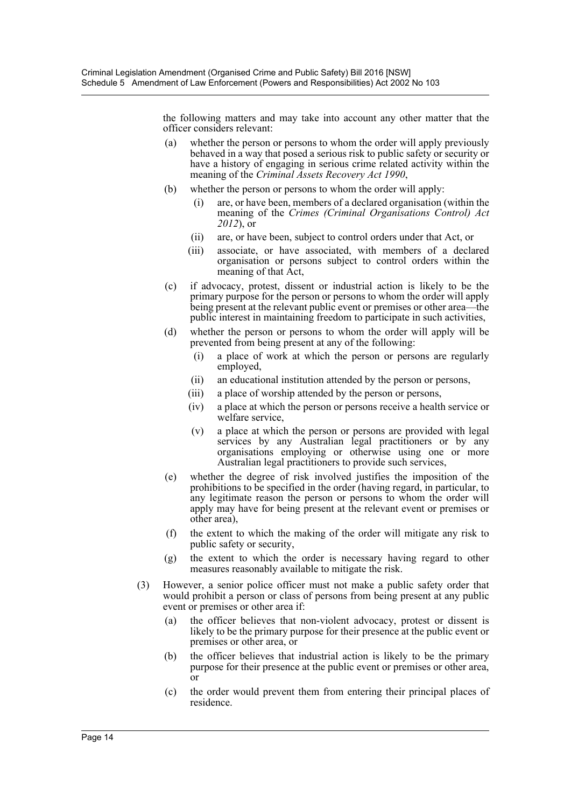the following matters and may take into account any other matter that the officer considers relevant:

- (a) whether the person or persons to whom the order will apply previously behaved in a way that posed a serious risk to public safety or security or have a history of engaging in serious crime related activity within the meaning of the *Criminal Assets Recovery Act 1990*,
- (b) whether the person or persons to whom the order will apply:
	- (i) are, or have been, members of a declared organisation (within the meaning of the *Crimes (Criminal Organisations Control) Act 2012*), or
	- (ii) are, or have been, subject to control orders under that Act, or
	- (iii) associate, or have associated, with members of a declared organisation or persons subject to control orders within the meaning of that Act,
- (c) if advocacy, protest, dissent or industrial action is likely to be the primary purpose for the person or persons to whom the order will apply being present at the relevant public event or premises or other area—the public interest in maintaining freedom to participate in such activities,
- (d) whether the person or persons to whom the order will apply will be prevented from being present at any of the following:
	- (i) a place of work at which the person or persons are regularly employed,
	- (ii) an educational institution attended by the person or persons,
	- (iii) a place of worship attended by the person or persons,
	- (iv) a place at which the person or persons receive a health service or welfare service,
	- (v) a place at which the person or persons are provided with legal services by any Australian legal practitioners or by any organisations employing or otherwise using one or more Australian legal practitioners to provide such services,
- (e) whether the degree of risk involved justifies the imposition of the prohibitions to be specified in the order (having regard, in particular, to any legitimate reason the person or persons to whom the order will apply may have for being present at the relevant event or premises or other area),
- (f) the extent to which the making of the order will mitigate any risk to public safety or security,
- (g) the extent to which the order is necessary having regard to other measures reasonably available to mitigate the risk.
- (3) However, a senior police officer must not make a public safety order that would prohibit a person or class of persons from being present at any public event or premises or other area if:
	- (a) the officer believes that non-violent advocacy, protest or dissent is likely to be the primary purpose for their presence at the public event or premises or other area, or
	- (b) the officer believes that industrial action is likely to be the primary purpose for their presence at the public event or premises or other area, or
	- (c) the order would prevent them from entering their principal places of residence.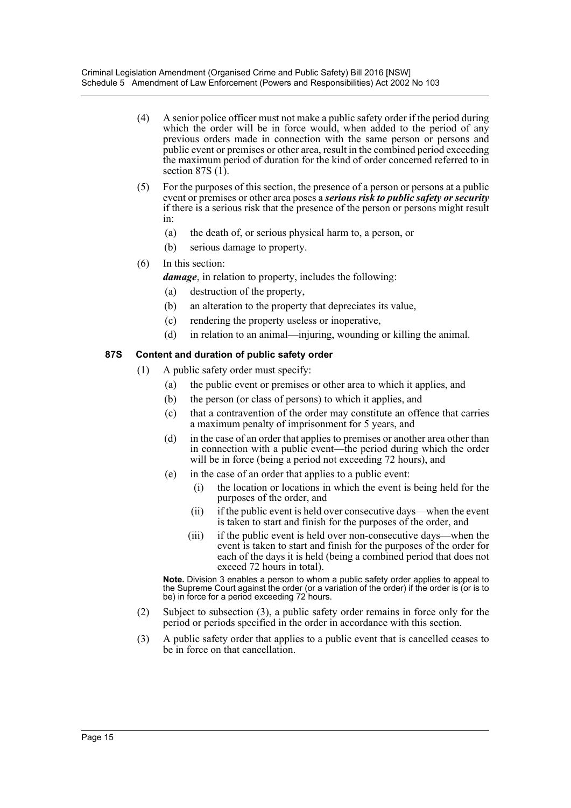- (4) A senior police officer must not make a public safety order if the period during which the order will be in force would, when added to the period of any previous orders made in connection with the same person or persons and public event or premises or other area, result in the combined period exceeding the maximum period of duration for the kind of order concerned referred to in section 87S  $(1)$ .
- (5) For the purposes of this section, the presence of a person or persons at a public event or premises or other area poses a *serious risk to public safety or security* if there is a serious risk that the presence of the person or persons might result in:
	- (a) the death of, or serious physical harm to, a person, or
	- (b) serious damage to property.
- (6) In this section:

*damage*, in relation to property, includes the following:

- (a) destruction of the property,
- (b) an alteration to the property that depreciates its value,
- (c) rendering the property useless or inoperative,
- (d) in relation to an animal—injuring, wounding or killing the animal.

### **87S Content and duration of public safety order**

- (1) A public safety order must specify:
	- (a) the public event or premises or other area to which it applies, and
	- (b) the person (or class of persons) to which it applies, and
	- (c) that a contravention of the order may constitute an offence that carries a maximum penalty of imprisonment for 5 years, and
	- (d) in the case of an order that applies to premises or another area other than in connection with a public event—the period during which the order will be in force (being a period not exceeding 72 hours), and
	- (e) in the case of an order that applies to a public event:
		- (i) the location or locations in which the event is being held for the purposes of the order, and
		- (ii) if the public event is held over consecutive days—when the event is taken to start and finish for the purposes of the order, and
		- (iii) if the public event is held over non-consecutive days—when the event is taken to start and finish for the purposes of the order for each of the days it is held (being a combined period that does not exceed 72 hours in total).

**Note.** Division 3 enables a person to whom a public safety order applies to appeal to the Supreme Court against the order (or a variation of the order) if the order is (or is to be) in force for a period exceeding 72 hours.

- (2) Subject to subsection (3), a public safety order remains in force only for the period or periods specified in the order in accordance with this section.
- (3) A public safety order that applies to a public event that is cancelled ceases to be in force on that cancellation.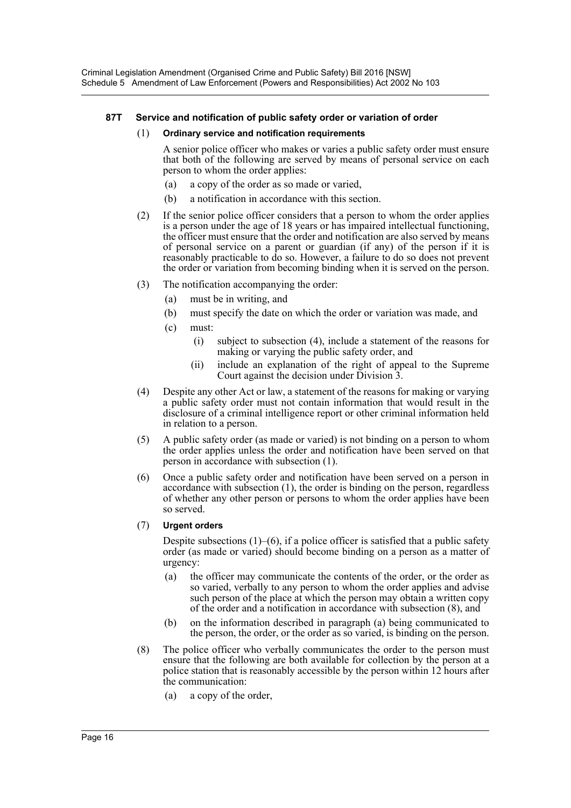## **87T Service and notification of public safety order or variation of order**

#### (1) **Ordinary service and notification requirements**

A senior police officer who makes or varies a public safety order must ensure that both of the following are served by means of personal service on each person to whom the order applies:

- (a) a copy of the order as so made or varied,
- (b) a notification in accordance with this section.
- (2) If the senior police officer considers that a person to whom the order applies is a person under the age of 18 years or has impaired intellectual functioning, the officer must ensure that the order and notification are also served by means of personal service on a parent or guardian (if any) of the person if it is reasonably practicable to do so. However, a failure to do so does not prevent the order or variation from becoming binding when it is served on the person.
- (3) The notification accompanying the order:
	- (a) must be in writing, and
	- (b) must specify the date on which the order or variation was made, and
	- (c) must:
		- (i) subject to subsection (4), include a statement of the reasons for making or varying the public safety order, and
		- (ii) include an explanation of the right of appeal to the Supreme Court against the decision under Division 3.
- (4) Despite any other Act or law, a statement of the reasons for making or varying a public safety order must not contain information that would result in the disclosure of a criminal intelligence report or other criminal information held in relation to a person.
- (5) A public safety order (as made or varied) is not binding on a person to whom the order applies unless the order and notification have been served on that person in accordance with subsection (1).
- (6) Once a public safety order and notification have been served on a person in accordance with subsection (1), the order is binding on the person, regardless of whether any other person or persons to whom the order applies have been so served.

#### (7) **Urgent orders**

Despite subsections  $(1)$ – $(6)$ , if a police officer is satisfied that a public safety order (as made or varied) should become binding on a person as a matter of urgency:

- (a) the officer may communicate the contents of the order, or the order as so varied, verbally to any person to whom the order applies and advise such person of the place at which the person may obtain a written copy of the order and a notification in accordance with subsection (8), and
- (b) on the information described in paragraph (a) being communicated to the person, the order, or the order as so varied, is binding on the person.
- (8) The police officer who verbally communicates the order to the person must ensure that the following are both available for collection by the person at a police station that is reasonably accessible by the person within 12 hours after the communication:
	- (a) a copy of the order,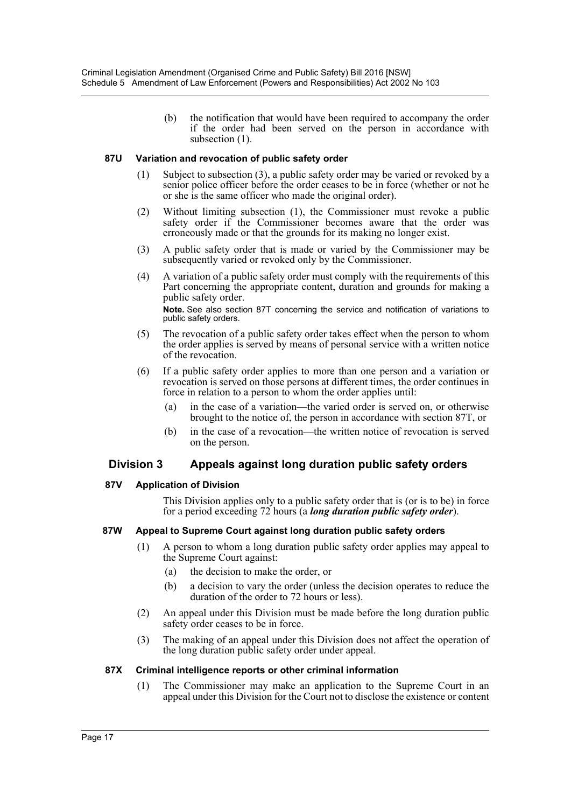(b) the notification that would have been required to accompany the order if the order had been served on the person in accordance with subsection  $(1)$ .

### **87U Variation and revocation of public safety order**

- (1) Subject to subsection (3), a public safety order may be varied or revoked by a senior police officer before the order ceases to be in force (whether or not he or she is the same officer who made the original order).
- (2) Without limiting subsection (1), the Commissioner must revoke a public safety order if the Commissioner becomes aware that the order was erroneously made or that the grounds for its making no longer exist.
- (3) A public safety order that is made or varied by the Commissioner may be subsequently varied or revoked only by the Commissioner.
- (4) A variation of a public safety order must comply with the requirements of this Part concerning the appropriate content, duration and grounds for making a public safety order. **Note.** See also section 87T concerning the service and notification of variations to public safety orders.
- (5) The revocation of a public safety order takes effect when the person to whom the order applies is served by means of personal service with a written notice of the revocation.
- (6) If a public safety order applies to more than one person and a variation or revocation is served on those persons at different times, the order continues in force in relation to a person to whom the order applies until:
	- (a) in the case of a variation—the varied order is served on, or otherwise brought to the notice of, the person in accordance with section 87T, or
	- (b) in the case of a revocation—the written notice of revocation is served on the person.

# **Division 3 Appeals against long duration public safety orders**

#### **87V Application of Division**

This Division applies only to a public safety order that is (or is to be) in force for a period exceeding 72 hours (a *long duration public safety order*).

#### **87W Appeal to Supreme Court against long duration public safety orders**

- (1) A person to whom a long duration public safety order applies may appeal to the Supreme Court against:
	- (a) the decision to make the order, or
	- (b) a decision to vary the order (unless the decision operates to reduce the duration of the order to 72 hours or less).
- (2) An appeal under this Division must be made before the long duration public safety order ceases to be in force.
- (3) The making of an appeal under this Division does not affect the operation of the long duration public safety order under appeal.

#### **87X Criminal intelligence reports or other criminal information**

(1) The Commissioner may make an application to the Supreme Court in an appeal under this Division for the Court not to disclose the existence or content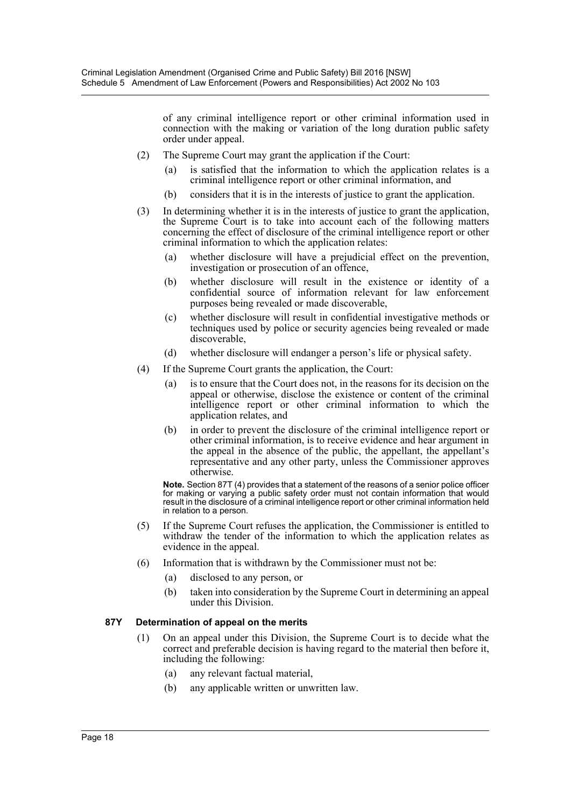of any criminal intelligence report or other criminal information used in connection with the making or variation of the long duration public safety order under appeal.

- (2) The Supreme Court may grant the application if the Court:
	- (a) is satisfied that the information to which the application relates is a criminal intelligence report or other criminal information, and
	- (b) considers that it is in the interests of justice to grant the application.
- (3) In determining whether it is in the interests of justice to grant the application, the Supreme Court is to take into account each of the following matters concerning the effect of disclosure of the criminal intelligence report or other criminal information to which the application relates:
	- (a) whether disclosure will have a prejudicial effect on the prevention, investigation or prosecution of an offence,
	- (b) whether disclosure will result in the existence or identity of a confidential source of information relevant for law enforcement purposes being revealed or made discoverable,
	- (c) whether disclosure will result in confidential investigative methods or techniques used by police or security agencies being revealed or made discoverable,
	- (d) whether disclosure will endanger a person's life or physical safety.
- (4) If the Supreme Court grants the application, the Court:
	- (a) is to ensure that the Court does not, in the reasons for its decision on the appeal or otherwise, disclose the existence or content of the criminal intelligence report or other criminal information to which the application relates, and
	- (b) in order to prevent the disclosure of the criminal intelligence report or other criminal information, is to receive evidence and hear argument in the appeal in the absence of the public, the appellant, the appellant's representative and any other party, unless the Commissioner approves otherwise.

**Note.** Section 87T (4) provides that a statement of the reasons of a senior police officer for making or varying a public safety order must not contain information that would result in the disclosure of a criminal intelligence report or other criminal information held in relation to a person.

- (5) If the Supreme Court refuses the application, the Commissioner is entitled to withdraw the tender of the information to which the application relates as evidence in the appeal.
- (6) Information that is withdrawn by the Commissioner must not be:
	- (a) disclosed to any person, or
	- (b) taken into consideration by the Supreme Court in determining an appeal under this Division.

#### **87Y Determination of appeal on the merits**

- (1) On an appeal under this Division, the Supreme Court is to decide what the correct and preferable decision is having regard to the material then before it, including the following:
	- (a) any relevant factual material,
	- (b) any applicable written or unwritten law.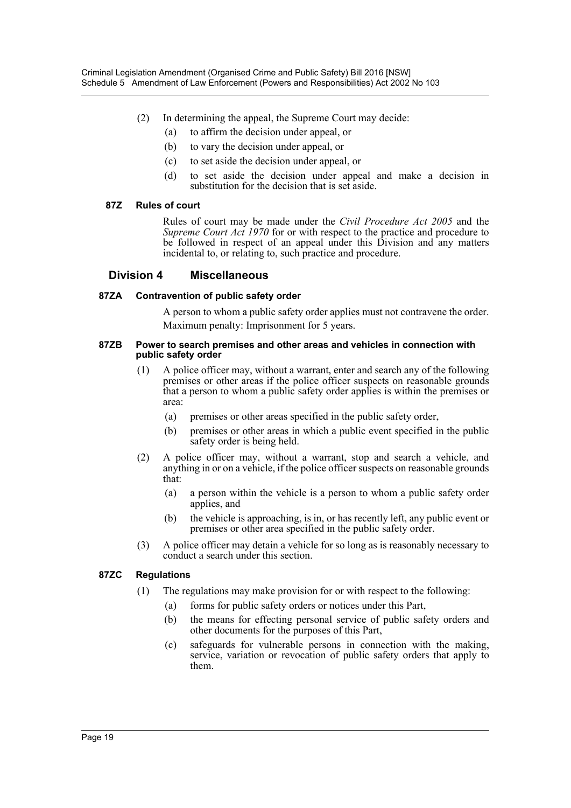- (2) In determining the appeal, the Supreme Court may decide:
	- (a) to affirm the decision under appeal, or
	- (b) to vary the decision under appeal, or
	- (c) to set aside the decision under appeal, or
	- (d) to set aside the decision under appeal and make a decision in substitution for the decision that is set aside.

### **87Z Rules of court**

Rules of court may be made under the *Civil Procedure Act 2005* and the *Supreme Court Act 1970* for or with respect to the practice and procedure to be followed in respect of an appeal under this Division and any matters incidental to, or relating to, such practice and procedure.

# **Division 4 Miscellaneous**

### **87ZA Contravention of public safety order**

A person to whom a public safety order applies must not contravene the order. Maximum penalty: Imprisonment for 5 years.

#### **87ZB Power to search premises and other areas and vehicles in connection with public safety order**

- (1) A police officer may, without a warrant, enter and search any of the following premises or other areas if the police officer suspects on reasonable grounds that a person to whom a public safety order applies is within the premises or area:
	- (a) premises or other areas specified in the public safety order,
	- (b) premises or other areas in which a public event specified in the public safety order is being held.
- (2) A police officer may, without a warrant, stop and search a vehicle, and anything in or on a vehicle, if the police officer suspects on reasonable grounds that:
	- (a) a person within the vehicle is a person to whom a public safety order applies, and
	- (b) the vehicle is approaching, is in, or has recently left, any public event or premises or other area specified in the public safety order.
- (3) A police officer may detain a vehicle for so long as is reasonably necessary to conduct a search under this section.

# **87ZC Regulations**

- (1) The regulations may make provision for or with respect to the following:
	- (a) forms for public safety orders or notices under this Part,
	- (b) the means for effecting personal service of public safety orders and other documents for the purposes of this Part,
	- (c) safeguards for vulnerable persons in connection with the making, service, variation or revocation of public safety orders that apply to them.